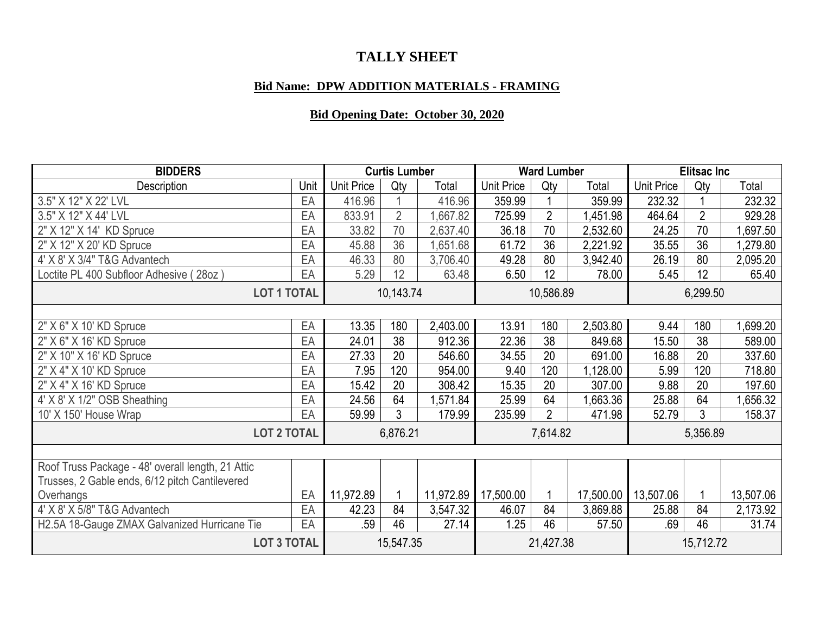## **TALLY SHEET**

## **Bid Name: DPW ADDITION MATERIALS - FRAMING**

## **Bid Opening Date: October 30, 2020**

| <b>BIDDERS</b>                                            |           | <b>Curtis Lumber</b> |                |           | <b>Ward Lumber</b> |                |           | <b>Elitsac Inc</b> |                |           |
|-----------------------------------------------------------|-----------|----------------------|----------------|-----------|--------------------|----------------|-----------|--------------------|----------------|-----------|
| Description                                               | Unit      | <b>Unit Price</b>    | Qty            | Total     | <b>Unit Price</b>  | Qty            | Total     | <b>Unit Price</b>  | Qty            | Total     |
| 3.5" X 12" X 22' LVL                                      | EA        | 416.96               |                | 416.96    | 359.99             |                | 359.99    | 232.32             |                | 232.32    |
| 3.5" X 12" X 44' LVL                                      | EA        | 833.91               | $\overline{2}$ | ,667.82   | 725.99             | $\overline{2}$ | 1,451.98  | 464.64             | $\overline{2}$ | 929.28    |
| 2" X 12" X 14' KD Spruce                                  | EA        | 33.82                | 70             | 2,637.40  | 36.18              | 70             | 2,532.60  | 24.25              | 70             | ,697.50   |
| 2" X 12" X 20' KD Spruce                                  | EA        | 45.88                | 36             | 1,651.68  | 61.72              | 36             | 2,221.92  | 35.55              | 36             | ,279.80   |
| 4' X 8' X 3/4" T&G Advantech                              | EA        | 46.33                | 80             | 3,706.40  | 49.28              | 80             | 3,942.40  | 26.19              | 80             | 2,095.20  |
| Loctite PL 400 Subfloor Adhesive (<br>(28 <sub>oz</sub> ) | EA        | 5.29                 | 12             | 63.48     | 6.50               | 12             | 78.00     | 5.45               | 12             | 65.40     |
| <b>LOT 1 TOTAL</b>                                        | 10,143.74 |                      |                | 10,586.89 |                    |                | 6,299.50  |                    |                |           |
| 2" X 6" X 10' KD Spruce                                   | EA        | 13.35                | 180            | 2,403.00  | 13.91              | 180            | 2,503.80  | 9.44               | 180            | ,699.20   |
| 2" X 6" X 16' KD Spruce                                   | EA        | 24.01                | 38             | 912.36    | 22.36              | 38             | 849.68    | 15.50              | 38             | 589.00    |
| 2" X 10" X 16' KD Spruce                                  | EA        | 27.33                | 20             | 546.60    | 34.55              | 20             | 691.00    | 16.88              | 20             | 337.60    |
| 2" X 4" X 10' KD Spruce                                   | EA        | 7.95                 | 120            | 954.00    | 9.40               | 120            | 1,128.00  | 5.99               | 120            | 718.80    |
| 2" X 4" X 16' KD Spruce                                   | EA        | 15.42                | 20             | 308.42    | 15.35              | 20             | 307.00    | 9.88               | 20             | 197.60    |
| 4' X 8' X 1/2" OSB Sheathing                              | EA        | 24.56                | 64             | ,571.84   | 25.99              | 64             | ,663.36   | 25.88              | 64             | ,656.32   |
| 10' X 150' House Wrap                                     | EA        | 59.99                | 3              | 179.99    | 235.99             | $\overline{2}$ | 471.98    | 52.79              | 3              | 158.37    |
|                                                           |           |                      |                |           |                    |                |           |                    |                |           |
| <b>LOT 2 TOTAL</b>                                        | 6,876.21  |                      |                | 7,614.82  |                    |                | 5,356.89  |                    |                |           |
|                                                           |           |                      |                |           |                    |                |           |                    |                |           |
| Roof Truss Package - 48' overall length, 21 Attic         |           |                      |                |           |                    |                |           |                    |                |           |
| Trusses, 2 Gable ends, 6/12 pitch Cantilevered            |           |                      |                |           |                    |                |           |                    |                |           |
| Overhangs                                                 | EA        | 11,972.89            |                | 11,972.89 | 17,500.00          | 1              | 17,500.00 | 13,507.06          |                | 13,507.06 |
| 4' X 8' X 5/8" T&G Advantech                              | EA        | 42.23                | 84             | 3,547.32  | 46.07              | 84             | 3,869.88  | 25.88              | 84             | 2,173.92  |
| H2.5A 18-Gauge ZMAX Galvanized Hurricane Tie              | EA        | .59                  | 46             | 27.14     | 1.25               | 46             | 57.50     | .69                | 46             | 31.74     |
| <b>LOT 3 TOTAL</b>                                        |           | 15,547.35            |                |           | 21,427.38          |                |           | 15,712.72          |                |           |